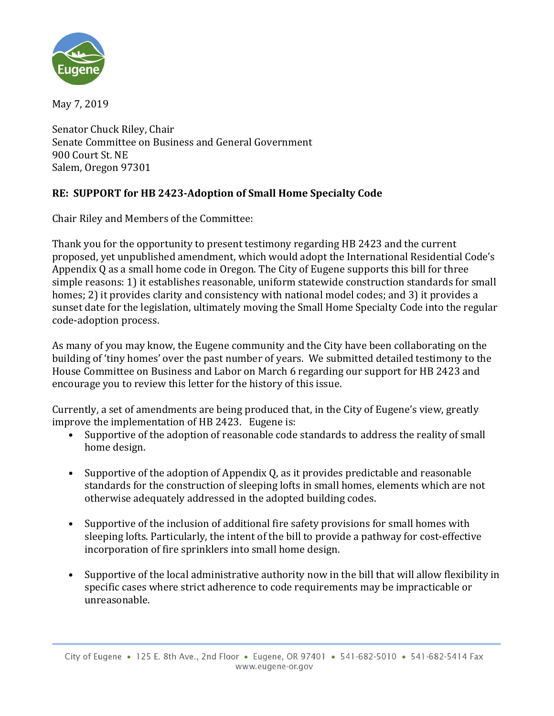

May 7, 2019

Senator Chuck Riley, Chair Senate Committee on Business and General Government 900 Court St. NE Salem, Oregon 97301

## **RE: SUPPORT for HB 2423-Adoption of Small Home Specialty Code**

Chair Riley and Members of the Committee:

Thank you for the opportunity to present testimony regarding HB 2423 and the current proposed, yet unpublished amendment, which would adopt the International Residential Code's Appendix Q as a small home code in Oregon. The City of Eugene supports this bill for three simple reasons: 1) it establishes reasonable, uniform statewide construction standards for small homes; 2) it provides clarity and consistency with national model codes; and 3) it provides a sunset date for the legislation, ultimately moving the Small Home Specialty Code into the regular code-adoption process.

As many of you may know, the Eugene community and the City have been collaborating on the building of 'tiny homes' over the past number of years. We submitted detailed testimony to the House Committee on Business and Labor on March 6 regarding our support for HB 2423 and encourage you to review this letter for the history of this issue.

Currently, a set of amendments are being produced that, in the City of Eugene's view, greatly improve the implementation of HB 2423. Eugene is:

- Supportive of the adoption of reasonable code standards to address the reality of small home design.
- Supportive of the adoption of Appendix Q, as it provides predictable and reasonable standards for the construction of sleeping lofts in small homes, elements which are not otherwise adequately addressed in the adopted building codes.
- Supportive of the inclusion of additional fire safety provisions for small homes with sleeping lofts. Particularly, the intent of the bill to provide a pathway for cost-effective incorporation of fire sprinklers into small home design.
- Supportive of the local administrative authority now in the bill that will allow flexibility in specific cases where strict adherence to code requirements may be impracticable or unreasonable.